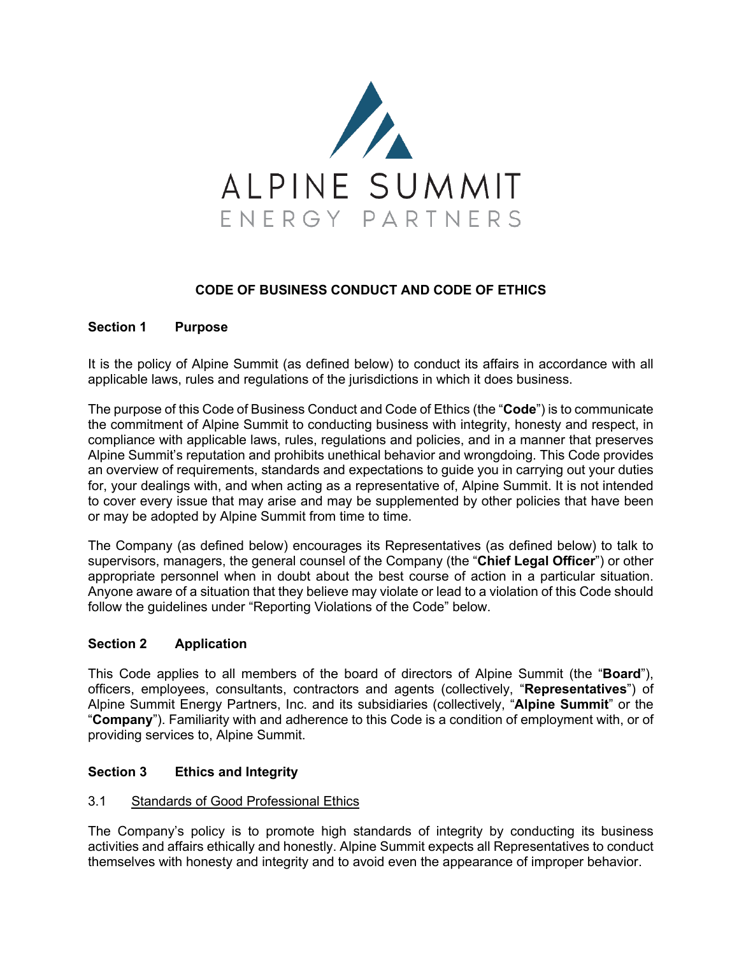

# **CODE OF BUSINESS CONDUCT AND CODE OF ETHICS**

# **Section 1 Purpose**

It is the policy of Alpine Summit (as defined below) to conduct its affairs in accordance with all applicable laws, rules and regulations of the jurisdictions in which it does business.

The purpose of this Code of Business Conduct and Code of Ethics (the "**Code**") is to communicate the commitment of Alpine Summit to conducting business with integrity, honesty and respect, in compliance with applicable laws, rules, regulations and policies, and in a manner that preserves Alpine Summit's reputation and prohibits unethical behavior and wrongdoing. This Code provides an overview of requirements, standards and expectations to guide you in carrying out your duties for, your dealings with, and when acting as a representative of, Alpine Summit. It is not intended to cover every issue that may arise and may be supplemented by other policies that have been or may be adopted by Alpine Summit from time to time.

The Company (as defined below) encourages its Representatives (as defined below) to talk to supervisors, managers, the general counsel of the Company (the "**Chief Legal Officer**") or other appropriate personnel when in doubt about the best course of action in a particular situation. Anyone aware of a situation that they believe may violate or lead to a violation of this Code should follow the guidelines under "Reporting Violations of the Code" below.

### **Section 2 Application**

This Code applies to all members of the board of directors of Alpine Summit (the "**Board**"), officers, employees, consultants, contractors and agents (collectively, "**Representatives**") of Alpine Summit Energy Partners, Inc. and its subsidiaries (collectively, "**Alpine Summit**" or the "**Company**"). Familiarity with and adherence to this Code is a condition of employment with, or of providing services to, Alpine Summit.

### **Section 3 Ethics and Integrity**

### 3.1 Standards of Good Professional Ethics

The Company's policy is to promote high standards of integrity by conducting its business activities and affairs ethically and honestly. Alpine Summit expects all Representatives to conduct themselves with honesty and integrity and to avoid even the appearance of improper behavior.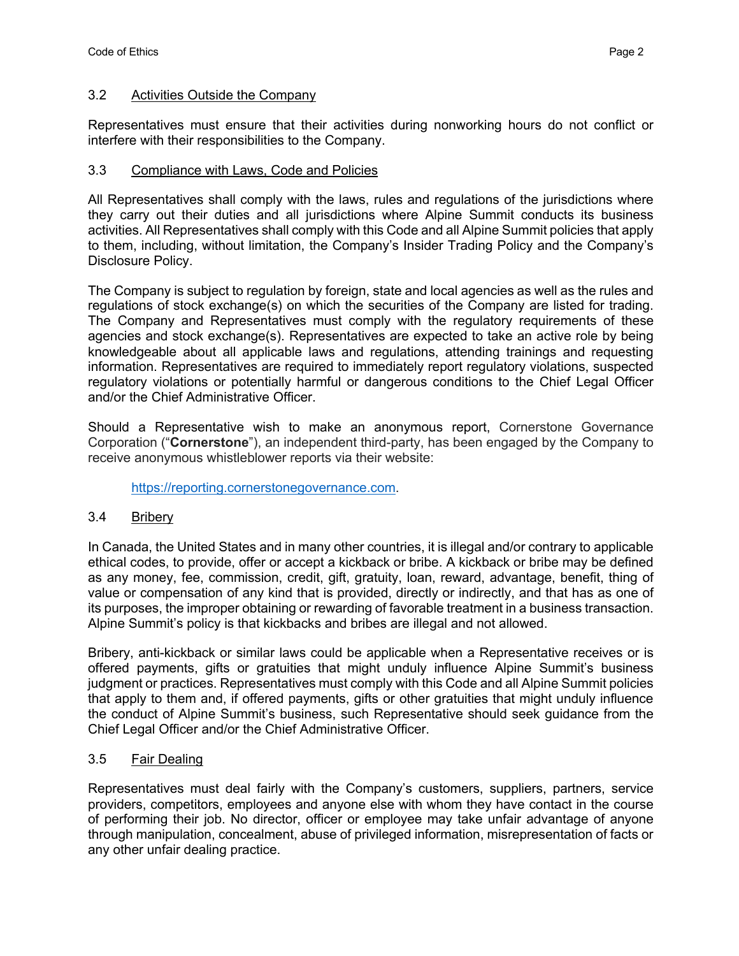#### 3.2 Activities Outside the Company

Representatives must ensure that their activities during nonworking hours do not conflict or interfere with their responsibilities to the Company.

#### 3.3 Compliance with Laws, Code and Policies

All Representatives shall comply with the laws, rules and regulations of the jurisdictions where they carry out their duties and all jurisdictions where Alpine Summit conducts its business activities. All Representatives shall comply with this Code and all Alpine Summit policies that apply to them, including, without limitation, the Company's Insider Trading Policy and the Company's Disclosure Policy.

The Company is subject to regulation by foreign, state and local agencies as well as the rules and regulations of stock exchange(s) on which the securities of the Company are listed for trading. The Company and Representatives must comply with the regulatory requirements of these agencies and stock exchange(s). Representatives are expected to take an active role by being knowledgeable about all applicable laws and regulations, attending trainings and requesting information. Representatives are required to immediately report regulatory violations, suspected regulatory violations or potentially harmful or dangerous conditions to the Chief Legal Officer and/or the Chief Administrative Officer.

Should a Representative wish to make an anonymous report, Cornerstone Governance Corporation ("**Cornerstone**"), an independent third-party, has been engaged by the Company to receive anonymous whistleblower reports via their website:

https://reporting.cornerstonegovernance.com.

### 3.4 Bribery

In Canada, the United States and in many other countries, it is illegal and/or contrary to applicable ethical codes, to provide, offer or accept a kickback or bribe. A kickback or bribe may be defined as any money, fee, commission, credit, gift, gratuity, loan, reward, advantage, benefit, thing of value or compensation of any kind that is provided, directly or indirectly, and that has as one of its purposes, the improper obtaining or rewarding of favorable treatment in a business transaction. Alpine Summit's policy is that kickbacks and bribes are illegal and not allowed.

Bribery, anti-kickback or similar laws could be applicable when a Representative receives or is offered payments, gifts or gratuities that might unduly influence Alpine Summit's business judgment or practices. Representatives must comply with this Code and all Alpine Summit policies that apply to them and, if offered payments, gifts or other gratuities that might unduly influence the conduct of Alpine Summit's business, such Representative should seek guidance from the Chief Legal Officer and/or the Chief Administrative Officer.

### 3.5 Fair Dealing

Representatives must deal fairly with the Company's customers, suppliers, partners, service providers, competitors, employees and anyone else with whom they have contact in the course of performing their job. No director, officer or employee may take unfair advantage of anyone through manipulation, concealment, abuse of privileged information, misrepresentation of facts or any other unfair dealing practice.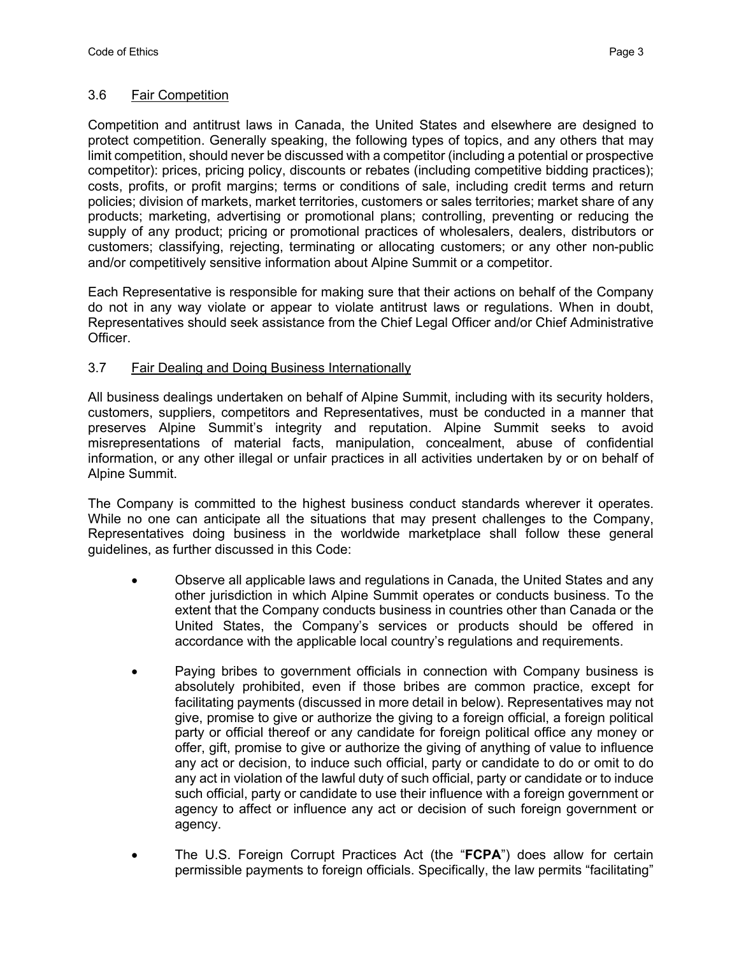#### 3.6 Fair Competition

Competition and antitrust laws in Canada, the United States and elsewhere are designed to protect competition. Generally speaking, the following types of topics, and any others that may limit competition, should never be discussed with a competitor (including a potential or prospective competitor): prices, pricing policy, discounts or rebates (including competitive bidding practices); costs, profits, or profit margins; terms or conditions of sale, including credit terms and return policies; division of markets, market territories, customers or sales territories; market share of any products; marketing, advertising or promotional plans; controlling, preventing or reducing the supply of any product; pricing or promotional practices of wholesalers, dealers, distributors or customers; classifying, rejecting, terminating or allocating customers; or any other non-public and/or competitively sensitive information about Alpine Summit or a competitor.

Each Representative is responsible for making sure that their actions on behalf of the Company do not in any way violate or appear to violate antitrust laws or regulations. When in doubt, Representatives should seek assistance from the Chief Legal Officer and/or Chief Administrative Officer.

### 3.7 Fair Dealing and Doing Business Internationally

All business dealings undertaken on behalf of Alpine Summit, including with its security holders, customers, suppliers, competitors and Representatives, must be conducted in a manner that preserves Alpine Summit's integrity and reputation. Alpine Summit seeks to avoid misrepresentations of material facts, manipulation, concealment, abuse of confidential information, or any other illegal or unfair practices in all activities undertaken by or on behalf of Alpine Summit.

The Company is committed to the highest business conduct standards wherever it operates. While no one can anticipate all the situations that may present challenges to the Company, Representatives doing business in the worldwide marketplace shall follow these general guidelines, as further discussed in this Code:

- Observe all applicable laws and regulations in Canada, the United States and any other jurisdiction in which Alpine Summit operates or conducts business. To the extent that the Company conducts business in countries other than Canada or the United States, the Company's services or products should be offered in accordance with the applicable local country's regulations and requirements.
- Paying bribes to government officials in connection with Company business is absolutely prohibited, even if those bribes are common practice, except for facilitating payments (discussed in more detail in below). Representatives may not give, promise to give or authorize the giving to a foreign official, a foreign political party or official thereof or any candidate for foreign political office any money or offer, gift, promise to give or authorize the giving of anything of value to influence any act or decision, to induce such official, party or candidate to do or omit to do any act in violation of the lawful duty of such official, party or candidate or to induce such official, party or candidate to use their influence with a foreign government or agency to affect or influence any act or decision of such foreign government or agency.
- The U.S. Foreign Corrupt Practices Act (the "**FCPA**") does allow for certain permissible payments to foreign officials. Specifically, the law permits "facilitating"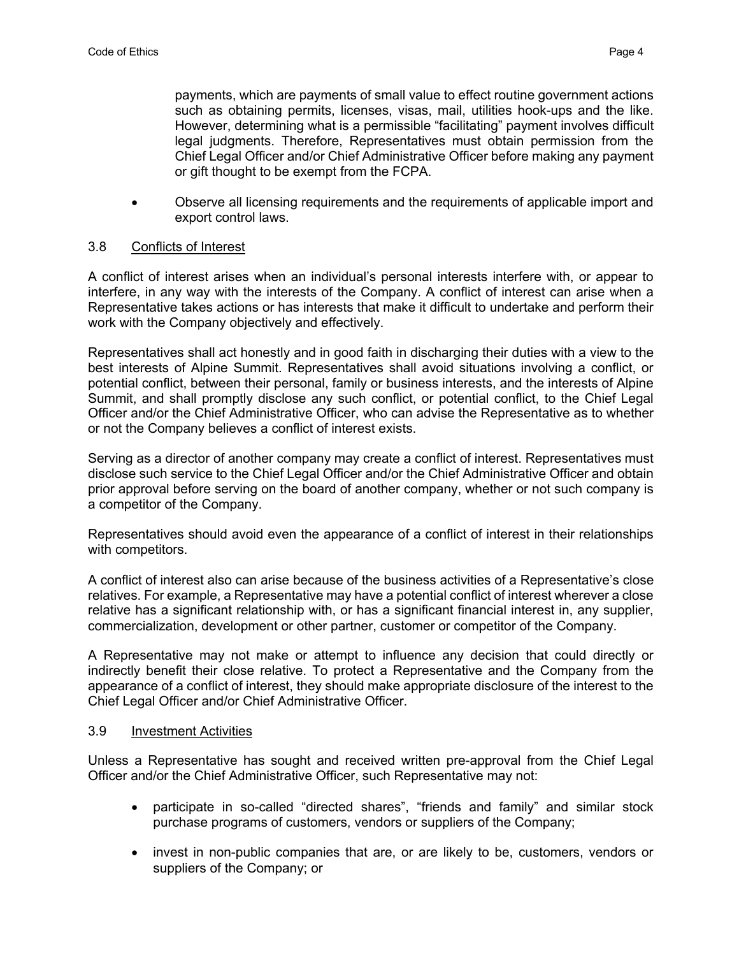payments, which are payments of small value to effect routine government actions such as obtaining permits, licenses, visas, mail, utilities hook-ups and the like. However, determining what is a permissible "facilitating" payment involves difficult legal judgments. Therefore, Representatives must obtain permission from the Chief Legal Officer and/or Chief Administrative Officer before making any payment or gift thought to be exempt from the FCPA.

• Observe all licensing requirements and the requirements of applicable import and export control laws.

## 3.8 Conflicts of Interest

A conflict of interest arises when an individual's personal interests interfere with, or appear to interfere, in any way with the interests of the Company. A conflict of interest can arise when a Representative takes actions or has interests that make it difficult to undertake and perform their work with the Company objectively and effectively.

Representatives shall act honestly and in good faith in discharging their duties with a view to the best interests of Alpine Summit. Representatives shall avoid situations involving a conflict, or potential conflict, between their personal, family or business interests, and the interests of Alpine Summit, and shall promptly disclose any such conflict, or potential conflict, to the Chief Legal Officer and/or the Chief Administrative Officer, who can advise the Representative as to whether or not the Company believes a conflict of interest exists.

Serving as a director of another company may create a conflict of interest. Representatives must disclose such service to the Chief Legal Officer and/or the Chief Administrative Officer and obtain prior approval before serving on the board of another company, whether or not such company is a competitor of the Company.

Representatives should avoid even the appearance of a conflict of interest in their relationships with competitors.

A conflict of interest also can arise because of the business activities of a Representative's close relatives. For example, a Representative may have a potential conflict of interest wherever a close relative has a significant relationship with, or has a significant financial interest in, any supplier, commercialization, development or other partner, customer or competitor of the Company.

A Representative may not make or attempt to influence any decision that could directly or indirectly benefit their close relative. To protect a Representative and the Company from the appearance of a conflict of interest, they should make appropriate disclosure of the interest to the Chief Legal Officer and/or Chief Administrative Officer.

#### 3.9 Investment Activities

Unless a Representative has sought and received written pre-approval from the Chief Legal Officer and/or the Chief Administrative Officer, such Representative may not:

- participate in so-called "directed shares", "friends and family" and similar stock purchase programs of customers, vendors or suppliers of the Company;
- invest in non-public companies that are, or are likely to be, customers, vendors or suppliers of the Company; or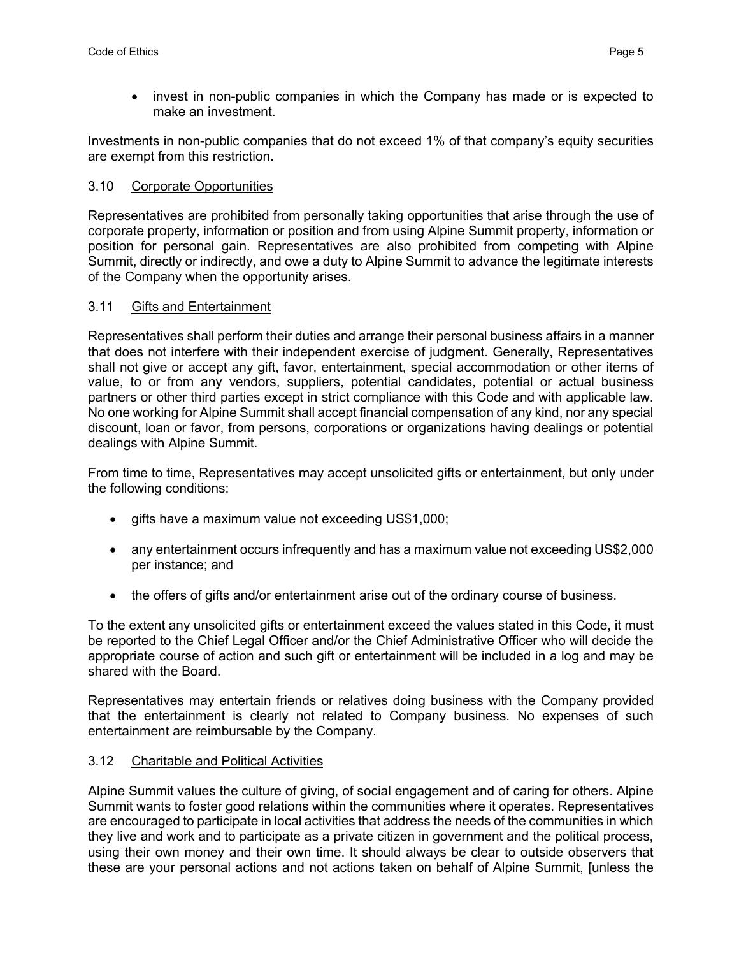• invest in non-public companies in which the Company has made or is expected to make an investment.

Investments in non-public companies that do not exceed 1% of that company's equity securities are exempt from this restriction.

## 3.10 Corporate Opportunities

Representatives are prohibited from personally taking opportunities that arise through the use of corporate property, information or position and from using Alpine Summit property, information or position for personal gain. Representatives are also prohibited from competing with Alpine Summit, directly or indirectly, and owe a duty to Alpine Summit to advance the legitimate interests of the Company when the opportunity arises.

### 3.11 Gifts and Entertainment

Representatives shall perform their duties and arrange their personal business affairs in a manner that does not interfere with their independent exercise of judgment. Generally, Representatives shall not give or accept any gift, favor, entertainment, special accommodation or other items of value, to or from any vendors, suppliers, potential candidates, potential or actual business partners or other third parties except in strict compliance with this Code and with applicable law. No one working for Alpine Summit shall accept financial compensation of any kind, nor any special discount, loan or favor, from persons, corporations or organizations having dealings or potential dealings with Alpine Summit.

From time to time, Representatives may accept unsolicited gifts or entertainment, but only under the following conditions:

- gifts have a maximum value not exceeding US\$1,000;
- any entertainment occurs infrequently and has a maximum value not exceeding US\$2,000 per instance; and
- the offers of gifts and/or entertainment arise out of the ordinary course of business.

To the extent any unsolicited gifts or entertainment exceed the values stated in this Code, it must be reported to the Chief Legal Officer and/or the Chief Administrative Officer who will decide the appropriate course of action and such gift or entertainment will be included in a log and may be shared with the Board.

Representatives may entertain friends or relatives doing business with the Company provided that the entertainment is clearly not related to Company business. No expenses of such entertainment are reimbursable by the Company.

### 3.12 Charitable and Political Activities

Alpine Summit values the culture of giving, of social engagement and of caring for others. Alpine Summit wants to foster good relations within the communities where it operates. Representatives are encouraged to participate in local activities that address the needs of the communities in which they live and work and to participate as a private citizen in government and the political process, using their own money and their own time. It should always be clear to outside observers that these are your personal actions and not actions taken on behalf of Alpine Summit, [unless the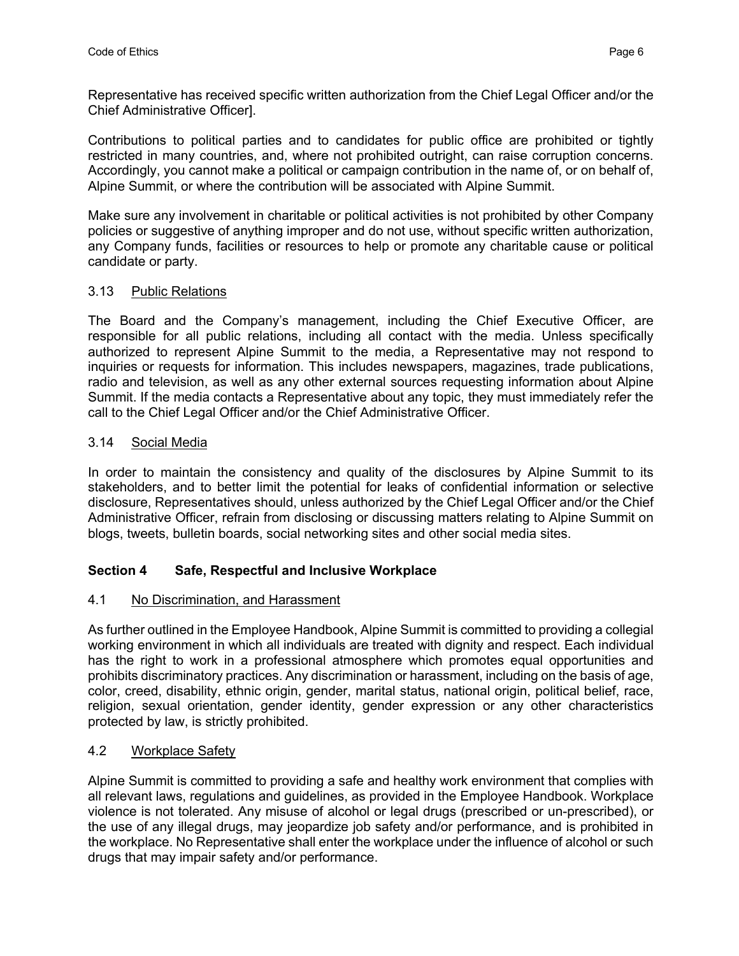Representative has received specific written authorization from the Chief Legal Officer and/or the Chief Administrative Officer].

Contributions to political parties and to candidates for public office are prohibited or tightly restricted in many countries, and, where not prohibited outright, can raise corruption concerns. Accordingly, you cannot make a political or campaign contribution in the name of, or on behalf of, Alpine Summit, or where the contribution will be associated with Alpine Summit.

Make sure any involvement in charitable or political activities is not prohibited by other Company policies or suggestive of anything improper and do not use, without specific written authorization, any Company funds, facilities or resources to help or promote any charitable cause or political candidate or party.

### 3.13 Public Relations

The Board and the Company's management, including the Chief Executive Officer, are responsible for all public relations, including all contact with the media. Unless specifically authorized to represent Alpine Summit to the media, a Representative may not respond to inquiries or requests for information. This includes newspapers, magazines, trade publications, radio and television, as well as any other external sources requesting information about Alpine Summit. If the media contacts a Representative about any topic, they must immediately refer the call to the Chief Legal Officer and/or the Chief Administrative Officer.

# 3.14 Social Media

In order to maintain the consistency and quality of the disclosures by Alpine Summit to its stakeholders, and to better limit the potential for leaks of confidential information or selective disclosure, Representatives should, unless authorized by the Chief Legal Officer and/or the Chief Administrative Officer, refrain from disclosing or discussing matters relating to Alpine Summit on blogs, tweets, bulletin boards, social networking sites and other social media sites.

# **Section 4 Safe, Respectful and Inclusive Workplace**

### 4.1 No Discrimination, and Harassment

As further outlined in the Employee Handbook, Alpine Summit is committed to providing a collegial working environment in which all individuals are treated with dignity and respect. Each individual has the right to work in a professional atmosphere which promotes equal opportunities and prohibits discriminatory practices. Any discrimination or harassment, including on the basis of age, color, creed, disability, ethnic origin, gender, marital status, national origin, political belief, race, religion, sexual orientation, gender identity, gender expression or any other characteristics protected by law, is strictly prohibited.

### 4.2 Workplace Safety

Alpine Summit is committed to providing a safe and healthy work environment that complies with all relevant laws, regulations and guidelines, as provided in the Employee Handbook. Workplace violence is not tolerated. Any misuse of alcohol or legal drugs (prescribed or un-prescribed), or the use of any illegal drugs, may jeopardize job safety and/or performance, and is prohibited in the workplace. No Representative shall enter the workplace under the influence of alcohol or such drugs that may impair safety and/or performance.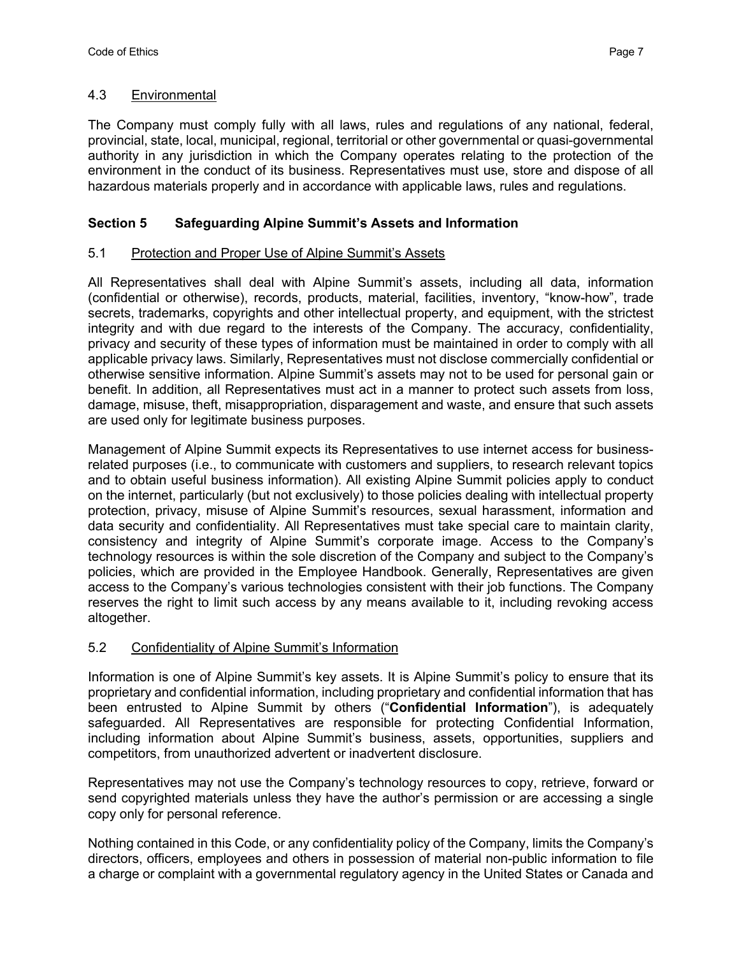#### 4.3 Environmental

The Company must comply fully with all laws, rules and regulations of any national, federal, provincial, state, local, municipal, regional, territorial or other governmental or quasi-governmental authority in any jurisdiction in which the Company operates relating to the protection of the environment in the conduct of its business. Representatives must use, store and dispose of all hazardous materials properly and in accordance with applicable laws, rules and regulations.

## **Section 5 Safeguarding Alpine Summit's Assets and Information**

### 5.1 Protection and Proper Use of Alpine Summit's Assets

All Representatives shall deal with Alpine Summit's assets, including all data, information (confidential or otherwise), records, products, material, facilities, inventory, "know-how", trade secrets, trademarks, copyrights and other intellectual property, and equipment, with the strictest integrity and with due regard to the interests of the Company. The accuracy, confidentiality, privacy and security of these types of information must be maintained in order to comply with all applicable privacy laws. Similarly, Representatives must not disclose commercially confidential or otherwise sensitive information. Alpine Summit's assets may not to be used for personal gain or benefit. In addition, all Representatives must act in a manner to protect such assets from loss, damage, misuse, theft, misappropriation, disparagement and waste, and ensure that such assets are used only for legitimate business purposes.

Management of Alpine Summit expects its Representatives to use internet access for businessrelated purposes (i.e., to communicate with customers and suppliers, to research relevant topics and to obtain useful business information). All existing Alpine Summit policies apply to conduct on the internet, particularly (but not exclusively) to those policies dealing with intellectual property protection, privacy, misuse of Alpine Summit's resources, sexual harassment, information and data security and confidentiality. All Representatives must take special care to maintain clarity, consistency and integrity of Alpine Summit's corporate image. Access to the Company's technology resources is within the sole discretion of the Company and subject to the Company's policies, which are provided in the Employee Handbook. Generally, Representatives are given access to the Company's various technologies consistent with their job functions. The Company reserves the right to limit such access by any means available to it, including revoking access altogether.

### 5.2 Confidentiality of Alpine Summit's Information

Information is one of Alpine Summit's key assets. It is Alpine Summit's policy to ensure that its proprietary and confidential information, including proprietary and confidential information that has been entrusted to Alpine Summit by others ("**Confidential Information**"), is adequately safeguarded. All Representatives are responsible for protecting Confidential Information, including information about Alpine Summit's business, assets, opportunities, suppliers and competitors, from unauthorized advertent or inadvertent disclosure.

Representatives may not use the Company's technology resources to copy, retrieve, forward or send copyrighted materials unless they have the author's permission or are accessing a single copy only for personal reference.

Nothing contained in this Code, or any confidentiality policy of the Company, limits the Company's directors, officers, employees and others in possession of material non-public information to file a charge or complaint with a governmental regulatory agency in the United States or Canada and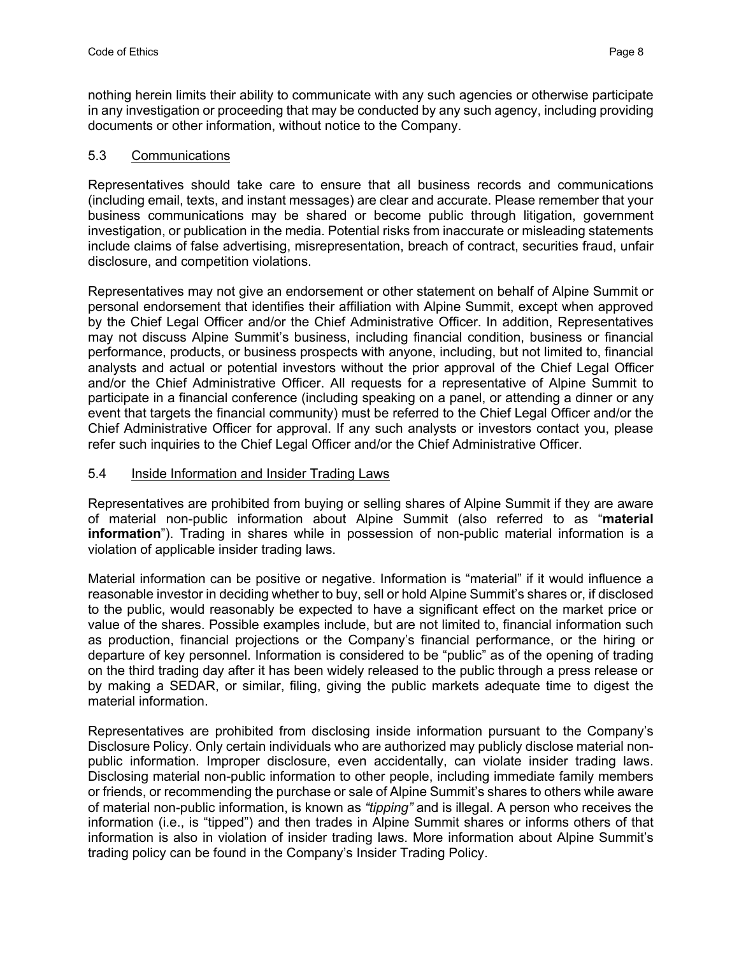nothing herein limits their ability to communicate with any such agencies or otherwise participate in any investigation or proceeding that may be conducted by any such agency, including providing documents or other information, without notice to the Company.

# 5.3 Communications

Representatives should take care to ensure that all business records and communications (including email, texts, and instant messages) are clear and accurate. Please remember that your business communications may be shared or become public through litigation, government investigation, or publication in the media. Potential risks from inaccurate or misleading statements include claims of false advertising, misrepresentation, breach of contract, securities fraud, unfair disclosure, and competition violations.

Representatives may not give an endorsement or other statement on behalf of Alpine Summit or personal endorsement that identifies their affiliation with Alpine Summit, except when approved by the Chief Legal Officer and/or the Chief Administrative Officer. In addition, Representatives may not discuss Alpine Summit's business, including financial condition, business or financial performance, products, or business prospects with anyone, including, but not limited to, financial analysts and actual or potential investors without the prior approval of the Chief Legal Officer and/or the Chief Administrative Officer. All requests for a representative of Alpine Summit to participate in a financial conference (including speaking on a panel, or attending a dinner or any event that targets the financial community) must be referred to the Chief Legal Officer and/or the Chief Administrative Officer for approval. If any such analysts or investors contact you, please refer such inquiries to the Chief Legal Officer and/or the Chief Administrative Officer.

## 5.4 Inside Information and Insider Trading Laws

Representatives are prohibited from buying or selling shares of Alpine Summit if they are aware of material non-public information about Alpine Summit (also referred to as "**material information**"). Trading in shares while in possession of non-public material information is a violation of applicable insider trading laws.

Material information can be positive or negative. Information is "material" if it would influence a reasonable investor in deciding whether to buy, sell or hold Alpine Summit's shares or, if disclosed to the public, would reasonably be expected to have a significant effect on the market price or value of the shares. Possible examples include, but are not limited to, financial information such as production, financial projections or the Company's financial performance, or the hiring or departure of key personnel. Information is considered to be "public" as of the opening of trading on the third trading day after it has been widely released to the public through a press release or by making a SEDAR, or similar, filing, giving the public markets adequate time to digest the material information.

Representatives are prohibited from disclosing inside information pursuant to the Company's Disclosure Policy. Only certain individuals who are authorized may publicly disclose material nonpublic information. Improper disclosure, even accidentally, can violate insider trading laws. Disclosing material non-public information to other people, including immediate family members or friends, or recommending the purchase or sale of Alpine Summit's shares to others while aware of material non-public information, is known as *"tipping"* and is illegal. A person who receives the information (i.e., is "tipped") and then trades in Alpine Summit shares or informs others of that information is also in violation of insider trading laws. More information about Alpine Summit's trading policy can be found in the Company's Insider Trading Policy.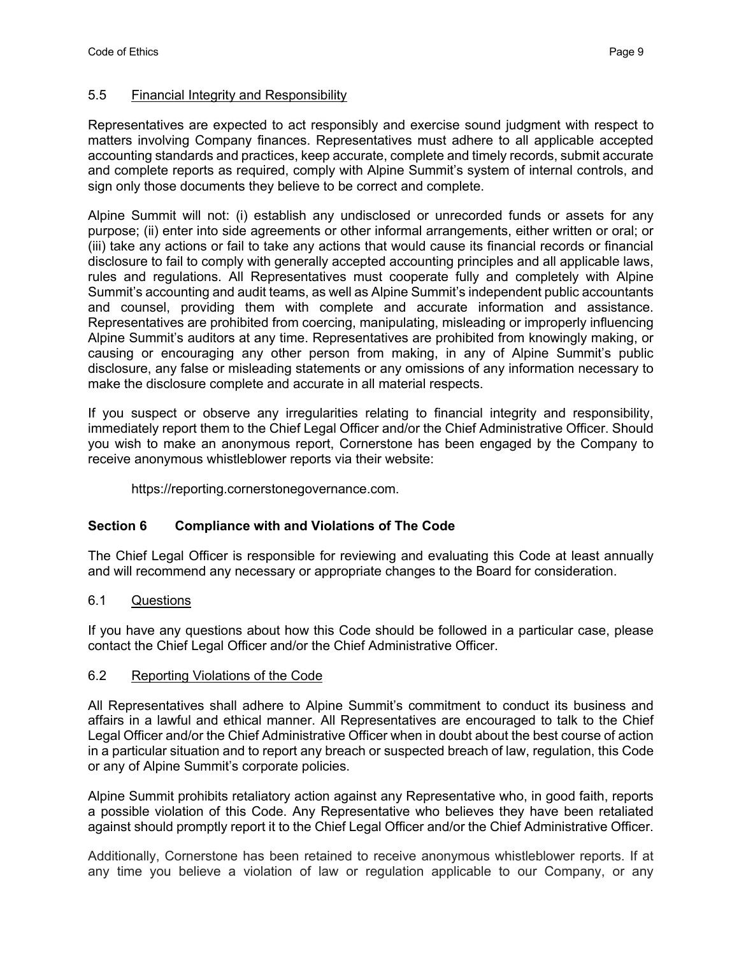#### 5.5 Financial Integrity and Responsibility

Representatives are expected to act responsibly and exercise sound judgment with respect to matters involving Company finances. Representatives must adhere to all applicable accepted accounting standards and practices, keep accurate, complete and timely records, submit accurate and complete reports as required, comply with Alpine Summit's system of internal controls, and sign only those documents they believe to be correct and complete.

Alpine Summit will not: (i) establish any undisclosed or unrecorded funds or assets for any purpose; (ii) enter into side agreements or other informal arrangements, either written or oral; or (iii) take any actions or fail to take any actions that would cause its financial records or financial disclosure to fail to comply with generally accepted accounting principles and all applicable laws, rules and regulations. All Representatives must cooperate fully and completely with Alpine Summit's accounting and audit teams, as well as Alpine Summit's independent public accountants and counsel, providing them with complete and accurate information and assistance. Representatives are prohibited from coercing, manipulating, misleading or improperly influencing Alpine Summit's auditors at any time. Representatives are prohibited from knowingly making, or causing or encouraging any other person from making, in any of Alpine Summit's public disclosure, any false or misleading statements or any omissions of any information necessary to make the disclosure complete and accurate in all material respects.

If you suspect or observe any irregularities relating to financial integrity and responsibility, immediately report them to the Chief Legal Officer and/or the Chief Administrative Officer. Should you wish to make an anonymous report, Cornerstone has been engaged by the Company to receive anonymous whistleblower reports via their website:

https://reporting.cornerstonegovernance.com.

### **Section 6 Compliance with and Violations of The Code**

The Chief Legal Officer is responsible for reviewing and evaluating this Code at least annually and will recommend any necessary or appropriate changes to the Board for consideration.

#### 6.1 Questions

If you have any questions about how this Code should be followed in a particular case, please contact the Chief Legal Officer and/or the Chief Administrative Officer.

#### 6.2 Reporting Violations of the Code

All Representatives shall adhere to Alpine Summit's commitment to conduct its business and affairs in a lawful and ethical manner. All Representatives are encouraged to talk to the Chief Legal Officer and/or the Chief Administrative Officer when in doubt about the best course of action in a particular situation and to report any breach or suspected breach of law, regulation, this Code or any of Alpine Summit's corporate policies.

Alpine Summit prohibits retaliatory action against any Representative who, in good faith, reports a possible violation of this Code. Any Representative who believes they have been retaliated against should promptly report it to the Chief Legal Officer and/or the Chief Administrative Officer.

Additionally, Cornerstone has been retained to receive anonymous whistleblower reports. If at any time you believe a violation of law or regulation applicable to our Company, or any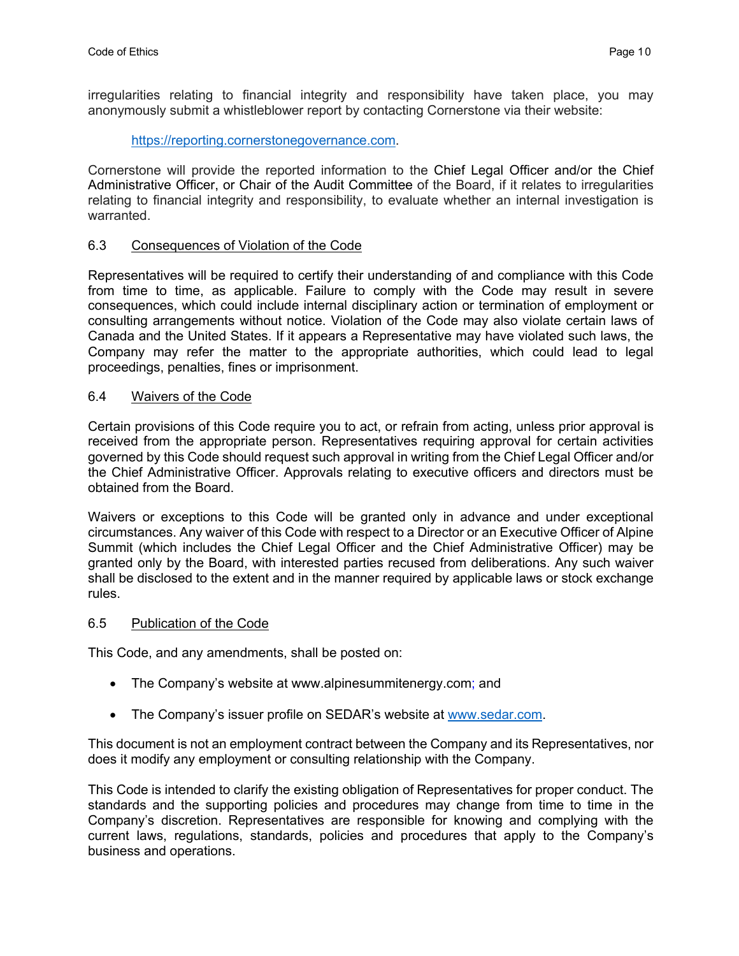irregularities relating to financial integrity and responsibility have taken place, you may anonymously submit a whistleblower report by contacting Cornerstone via their website:

#### https://reporting.cornerstonegovernance.com.

Cornerstone will provide the reported information to the Chief Legal Officer and/or the Chief Administrative Officer, or Chair of the Audit Committee of the Board, if it relates to irregularities relating to financial integrity and responsibility, to evaluate whether an internal investigation is warranted.

#### 6.3 Consequences of Violation of the Code

Representatives will be required to certify their understanding of and compliance with this Code from time to time, as applicable. Failure to comply with the Code may result in severe consequences, which could include internal disciplinary action or termination of employment or consulting arrangements without notice. Violation of the Code may also violate certain laws of Canada and the United States. If it appears a Representative may have violated such laws, the Company may refer the matter to the appropriate authorities, which could lead to legal proceedings, penalties, fines or imprisonment.

#### 6.4 Waivers of the Code

Certain provisions of this Code require you to act, or refrain from acting, unless prior approval is received from the appropriate person. Representatives requiring approval for certain activities governed by this Code should request such approval in writing from the Chief Legal Officer and/or the Chief Administrative Officer. Approvals relating to executive officers and directors must be obtained from the Board.

Waivers or exceptions to this Code will be granted only in advance and under exceptional circumstances. Any waiver of this Code with respect to a Director or an Executive Officer of Alpine Summit (which includes the Chief Legal Officer and the Chief Administrative Officer) may be granted only by the Board, with interested parties recused from deliberations. Any such waiver shall be disclosed to the extent and in the manner required by applicable laws or stock exchange rules.

#### 6.5 Publication of the Code

This Code, and any amendments, shall be posted on:

- The Company's website at www.alpinesummitenergy.com; and
- The Company's issuer profile on SEDAR's website at www.sedar.com.

This document is not an employment contract between the Company and its Representatives, nor does it modify any employment or consulting relationship with the Company.

This Code is intended to clarify the existing obligation of Representatives for proper conduct. The standards and the supporting policies and procedures may change from time to time in the Company's discretion. Representatives are responsible for knowing and complying with the current laws, regulations, standards, policies and procedures that apply to the Company's business and operations.